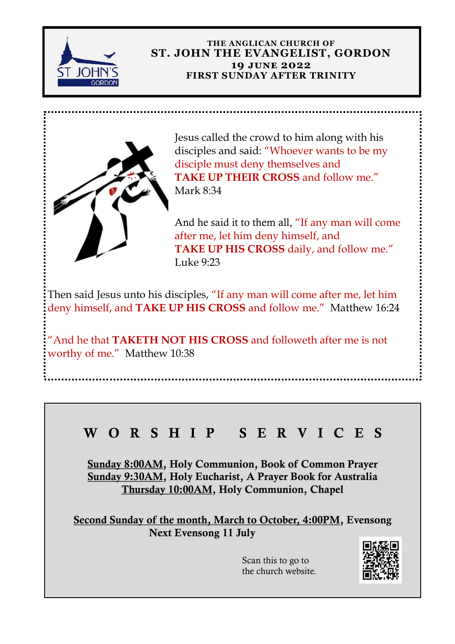

#### **THE ANGLICAN CHURCH OF ST. JOHN THE EVANGELIST, GORDON 19 june 2022 FIRST SUNDAY AFTER TRINITY**



Jesus called the crowd to him along with his disciples and said: "Whoever wants to be my disciple must deny themselves and **TAKE UP THEIR CROSS and follow me."** Mark 8:34

And he said it to them all, "If any man will come after me, let him deny himself, and **TAKE UP HIS CROSS** daily, and follow me." Luke 9:23

Then said Jesus unto his disciples, "If any man will come after me, let him deny himself, and **TAKE UP HIS CROSS** and follow me." Matthew 16:24

"And he that **TAKETH NOT HIS CROSS** and followeth after me is not worthy of me." Matthew 10:38

# W O R S H I P S E R V I C E S

Sunday 8:00AM, Holy Communion, Book of Common Prayer Sunday 9:30AM, Holy Eucharist, A Prayer Book for Australia Thursday 10:00AM, Holy Communion, Chapel

Second Sunday of the month, March to October, 4:00PM, Evensong Next Evensong 11 July

> Scan this to go to the church website.

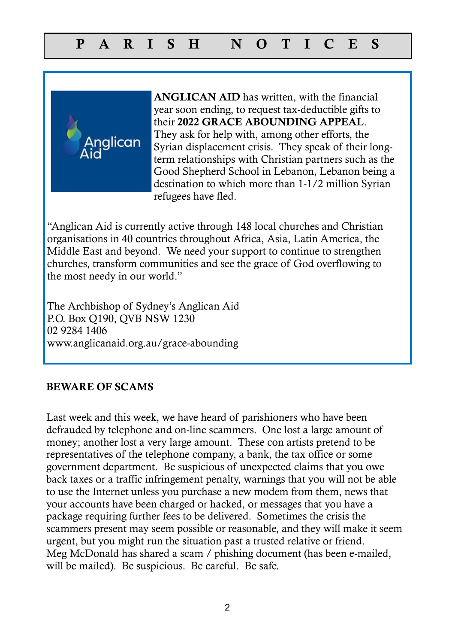

ANGLICAN AID has written, with the financial year soon ending, to request tax-deductible gifts to their 2022 GRACE ABOUNDING APPEAL. They ask for help with, among other efforts, the Syrian displacement crisis. They speak of their longterm relationships with Christian partners such as the Good Shepherd School in Lebanon, Lebanon being a destination to which more than 1-1/2 million Syrian refugees have fled.

"Anglican Aid is currently active through 148 local churches and Christian organisations in 40 countries throughout Africa, Asia, Latin America, the Middle East and beyond. We need your support to continue to strengthen churches, transform communities and see the grace of God overflowing to the most needy in our world."

The Archbishop of Sydney's Anglican Aid P.O. Box Q190, QVB NSW 1230 02 9284 1406 www.anglicanaid.org.au/grace-abounding

### BEWARE OF SCAMS

Last week and this week, we have heard of parishioners who have been defrauded by telephone and on-line scammers. One lost a large amount of money; another lost a very large amount. These con artists pretend to be representatives of the telephone company, a bank, the tax office or some government department. Be suspicious of unexpected claims that you owe back taxes or a traffic infringement penalty, warnings that you will not be able to use the Internet unless you purchase a new modem from them, news that your accounts have been charged or hacked, or messages that you have a package requiring further fees to be delivered. Sometimes the crisis the scammers present may seem possible or reasonable, and they will make it seem urgent, but you might run the situation past a trusted relative or friend. Meg McDonald has shared a scam / phishing document (has been e-mailed, will be mailed). Be suspicious. Be careful. Be safe.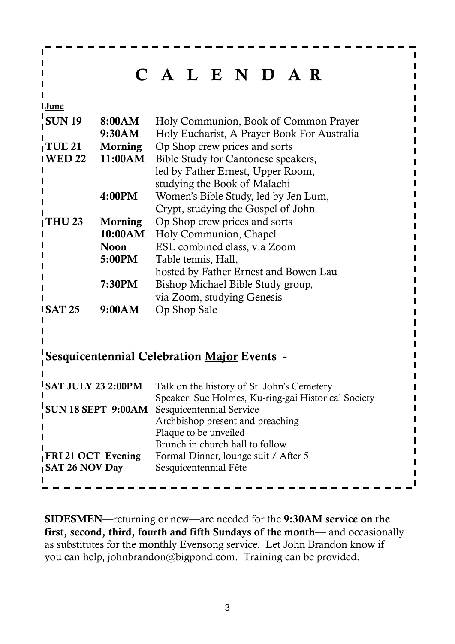|                                                    |               | C A L E N D A R                                          |  |  |  |  |
|----------------------------------------------------|---------------|----------------------------------------------------------|--|--|--|--|
| June                                               |               |                                                          |  |  |  |  |
| <b>SUN 19</b>                                      | 8:00AM        | Holy Communion, Book of Common Prayer                    |  |  |  |  |
|                                                    | 9:30AM        | Holy Eucharist, A Prayer Book For Australia              |  |  |  |  |
| <b>TUE 21</b>                                      |               | <b>Morning</b> Op Shop crew prices and sorts             |  |  |  |  |
| <b>WED 22</b>                                      |               | 11:00AM Bible Study for Cantonese speakers,              |  |  |  |  |
|                                                    |               | led by Father Ernest, Upper Room,                        |  |  |  |  |
|                                                    |               | studying the Book of Malachi                             |  |  |  |  |
|                                                    | <b>4:00PM</b> | Women's Bible Study, led by Jen Lum,                     |  |  |  |  |
|                                                    |               | Crypt, studying the Gospel of John                       |  |  |  |  |
| <b>THU 23</b>                                      |               | <b>Morning</b> Op Shop crew prices and sorts             |  |  |  |  |
|                                                    | 10:00AM       | Holy Communion, Chapel                                   |  |  |  |  |
|                                                    | <b>Noon</b>   | ESL combined class, via Zoom                             |  |  |  |  |
|                                                    | 5:00PM        | Table tennis, Hall,                                      |  |  |  |  |
|                                                    |               | hosted by Father Ernest and Bowen Lau                    |  |  |  |  |
|                                                    | <b>7:30PM</b> | Bishop Michael Bible Study group,                        |  |  |  |  |
|                                                    |               | via Zoom, studying Genesis                               |  |  |  |  |
| <b>SAT 25</b>                                      | 9:00AM        | Op Shop Sale                                             |  |  |  |  |
|                                                    |               |                                                          |  |  |  |  |
|                                                    |               |                                                          |  |  |  |  |
|                                                    |               | <b>Sesquicentennial Celebration Major Events -</b>       |  |  |  |  |
|                                                    |               |                                                          |  |  |  |  |
| <b>SAT JULY 23 2:00PM</b>                          |               | Talk on the history of St. John's Cemetery               |  |  |  |  |
|                                                    |               | Speaker: Sue Holmes, Ku-ring-gai Historical Society      |  |  |  |  |
| <b>SUN 18 SEPT 9:00AM</b> Sesquicentennial Service |               |                                                          |  |  |  |  |
|                                                    |               | Archbishop present and preaching                         |  |  |  |  |
|                                                    |               | Plaque to be unveiled<br>Brunch in church hall to follow |  |  |  |  |
| FRI 21 OCT Evening                                 |               | Formal Dinner, lounge suit / After 5                     |  |  |  |  |
| <b>SAT 26 NOV Day</b>                              |               | Sesquicentennial Fête                                    |  |  |  |  |
|                                                    |               |                                                          |  |  |  |  |

SIDESMEN—returning or new—are needed for the 9:30AM service on the first, second, third, fourth and fifth Sundays of the month— and occasionally as substitutes for the monthly Evensong service. Let John Brandon know if you can help, johnbrandon@bigpond.com. Training can be provided.